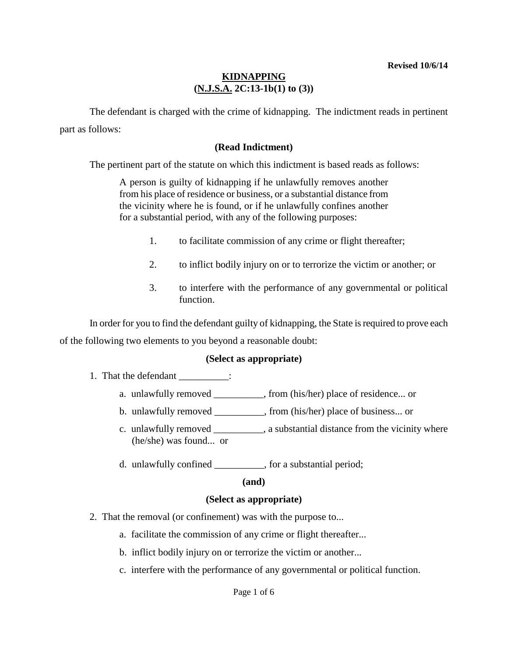The defendant is charged with the crime of kidnapping. The indictment reads in pertinent part as follows:

### **(Read Indictment)**

The pertinent part of the statute on which this indictment is based reads as follows:

A person is guilty of kidnapping if he unlawfully removes another from his place of residence or business, or a substantial distance from the vicinity where he is found, or if he unlawfully confines another for a substantial period, with any of the following purposes:

- 1. to facilitate commission of any crime or flight thereafter;
- 2. to inflict bodily injury on or to terrorize the victim or another; or
- 3. to interfere with the performance of any governmental or political function.

In order for you to find the defendant guilty of kidnapping, the State is required to prove each of the following two elements to you beyond a reasonable doubt:

#### **(Select as appropriate)**

- 1. That the defendant \_\_\_\_\_\_\_\_\_\_:
	- a. unlawfully removed from (his/her) place of residence... or
	- b. unlawfully removed from (his/her) place of business... or
	- c. unlawfully removed \_\_\_\_\_\_\_\_\_\_, a substantial distance from the vicinity where (he/she) was found... or
	- d. unlawfully confined \_\_\_\_\_\_\_\_\_\_, for a substantial period;

#### **(and)**

#### **(Select as appropriate)**

- 2. That the removal (or confinement) was with the purpose to...
	- a. facilitate the commission of any crime or flight thereafter...
	- b. inflict bodily injury on or terrorize the victim or another...
	- c. interfere with the performance of any governmental or political function.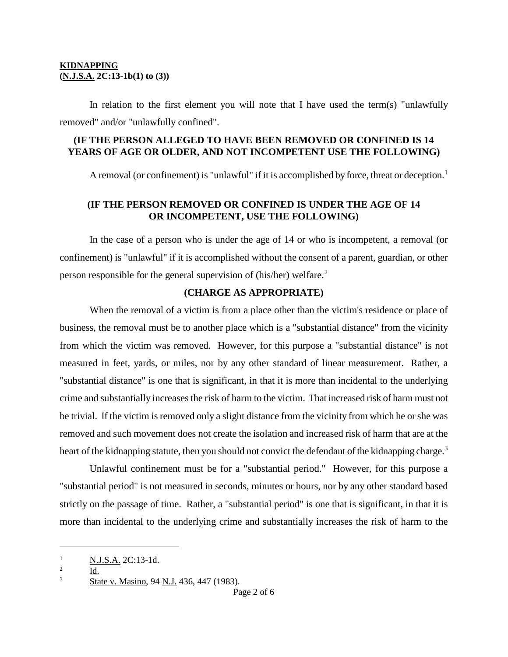In relation to the first element you will note that I have used the term(s) "unlawfully removed" and/or "unlawfully confined".

### **(IF THE PERSON ALLEGED TO HAVE BEEN REMOVED OR CONFINED IS 14 YEARS OF AGE OR OLDER, AND NOT INCOMPETENT USE THE FOLLOWING)**

A removal (or confinement) is "unlawful" if it is accomplished by force, threat or deception.<sup>[1](#page-1-0)</sup>

## **(IF THE PERSON REMOVED OR CONFINED IS UNDER THE AGE OF 14 OR INCOMPETENT, USE THE FOLLOWING)**

In the case of a person who is under the age of 14 or who is incompetent, a removal (or confinement) is "unlawful" if it is accomplished without the consent of a parent, guardian, or other person responsible for the general supervision of (his/her) welfare.[2](#page-1-1)

### **(CHARGE AS APPROPRIATE)**

When the removal of a victim is from a place other than the victim's residence or place of business, the removal must be to another place which is a "substantial distance" from the vicinity from which the victim was removed. However, for this purpose a "substantial distance" is not measured in feet, yards, or miles, nor by any other standard of linear measurement. Rather, a "substantial distance" is one that is significant, in that it is more than incidental to the underlying crime and substantially increases the risk of harm to the victim. That increased risk of harm must not be trivial. If the victim is removed only a slight distance from the vicinity from which he or she was removed and such movement does not create the isolation and increased risk of harm that are at the heart of the kidnapping statute, then you should not convict the defendant of the kidnapping charge.<sup>[3](#page-1-2)</sup>

Unlawful confinement must be for a "substantial period." However, for this purpose a "substantial period" is not measured in seconds, minutes or hours, nor by any other standard based strictly on the passage of time. Rather, a "substantial period" is one that is significant, in that it is more than incidental to the underlying crime and substantially increases the risk of harm to the

Id.

i<br>I

<span id="page-1-0"></span> $\frac{1}{2}$  N.J.S.A. 2C:13-1d.

<span id="page-1-1"></span>

<span id="page-1-2"></span><sup>3</sup> State v. Masino, 94 N.J. 436, 447 (1983).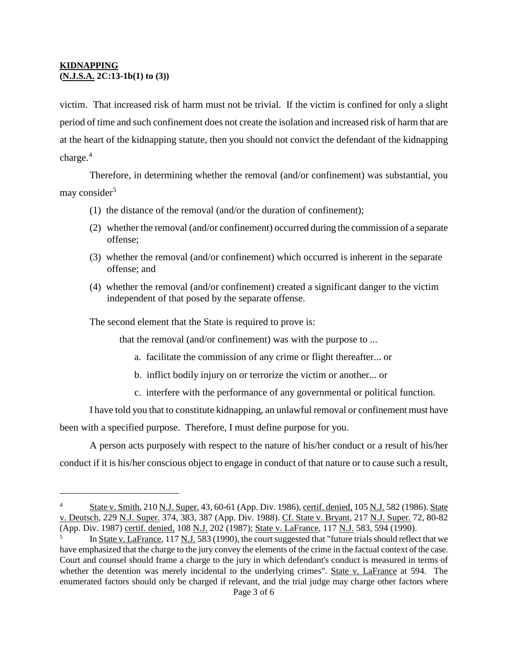i

victim. That increased risk of harm must not be trivial. If the victim is confined for only a slight period of time and such confinement does not create the isolation and increased risk of harm that are at the heart of the kidnapping statute, then you should not convict the defendant of the kidnapping charge. $4$ 

Therefore, in determining whether the removal (and/or confinement) was substantial, you may consider<sup>[5](#page-2-1)</sup>

- (1) the distance of the removal (and/or the duration of confinement);
- (2) whether the removal (and/or confinement) occurred during the commission of a separate offense;
- (3) whether the removal (and/or confinement) which occurred is inherent in the separate offense; and
- (4) whether the removal (and/or confinement) created a significant danger to the victim independent of that posed by the separate offense.

The second element that the State is required to prove is:

that the removal (and/or confinement) was with the purpose to ...

- a. facilitate the commission of any crime or flight thereafter... or
- b. inflict bodily injury on or terrorize the victim or another... or
- c. interfere with the performance of any governmental or political function.

I have told you that to constitute kidnapping, an unlawful removal or confinement must have been with a specified purpose. Therefore, I must define purpose for you.

A person acts purposely with respect to the nature of his/her conduct or a result of his/her conduct if it is his/her conscious object to engage in conduct of that nature or to cause such a result,

<span id="page-2-0"></span><sup>4</sup> State v. Smith, 210 N.J. Super. 43, 60-61 (App. Div. 1986), certif. denied, 105 N.J. 582 (1986). State v. Deutsch, 229 N.J. Super. 374, 383, 387 (App. Div. 1988). Cf. State v. Bryant, 217 N.J. Super. 72, 80-82 (App. Div. 1987) certif. denied, 108 N.J. 202 (1987); State v. LaFrance, 117 N.J. 583, 594 (1990).

<span id="page-2-1"></span>In State v. LaFrance, 117 N.J. 583 (1990), the court suggested that "future trials should reflect that we have emphasized that the charge to the jury convey the elements of the crime in the factual context of the case. Court and counsel should frame a charge to the jury in which defendant's conduct is measured in terms of whether the detention was merely incidental to the underlying crimes". State v. LaFrance at 594. The enumerated factors should only be charged if relevant, and the trial judge may charge other factors where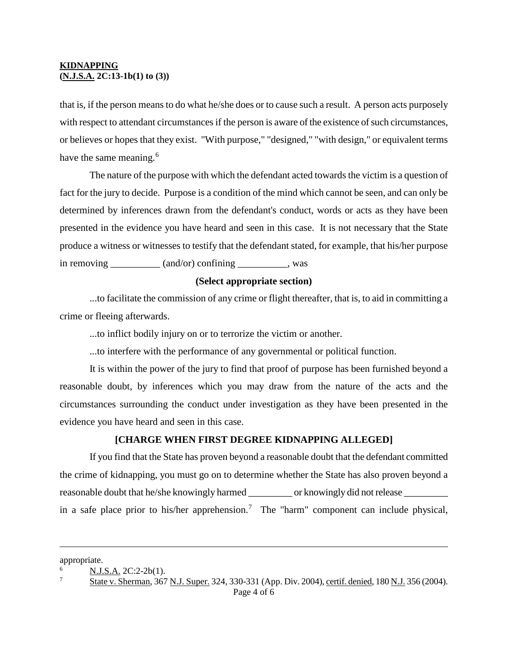that is, if the person means to do what he/she does or to cause such a result. A person acts purposely with respect to attendant circumstances if the person is aware of the existence of such circumstances, or believes or hopes that they exist. "With purpose," "designed," "with design," or equivalent terms have the same meaning.<sup>[6](#page-3-0)</sup>

The nature of the purpose with which the defendant acted towards the victim is a question of fact for the jury to decide. Purpose is a condition of the mind which cannot be seen, and can only be determined by inferences drawn from the defendant's conduct, words or acts as they have been presented in the evidence you have heard and seen in this case. It is not necessary that the State produce a witness or witnesses to testify that the defendant stated, for example, that his/her purpose in removing \_\_\_\_\_\_\_\_\_\_ (and/or) confining \_\_\_\_\_\_\_\_\_, was

#### **(Select appropriate section)**

...to facilitate the commission of any crime or flight thereafter, that is, to aid in committing a crime or fleeing afterwards.

...to inflict bodily injury on or to terrorize the victim or another.

...to interfere with the performance of any governmental or political function.

It is within the power of the jury to find that proof of purpose has been furnished beyond a reasonable doubt, by inferences which you may draw from the nature of the acts and the circumstances surrounding the conduct under investigation as they have been presented in the evidence you have heard and seen in this case.

#### **[CHARGE WHEN FIRST DEGREE KIDNAPPING ALLEGED]**

If you find that the State has proven beyond a reasonable doubt that the defendant committed the crime of kidnapping, you must go on to determine whether the State has also proven beyond a reasonable doubt that he/she knowingly harmed \_\_\_\_\_\_\_\_\_\_ or knowingly did not release \_\_\_\_\_\_\_\_\_\_\_ in a safe place prior to his/her apprehension.<sup>[7](#page-3-1)</sup> The "harm" component can include physical,

i<br>I

appropriate.

<span id="page-3-0"></span>N.J.S.A. 2C:2-2b(1).

<span id="page-3-1"></span><sup>7</sup> State v. Sherman, 367 N.J. Super. 324, 330-331 (App. Div. 2004), certif. denied, 180 N.J. 356 (2004).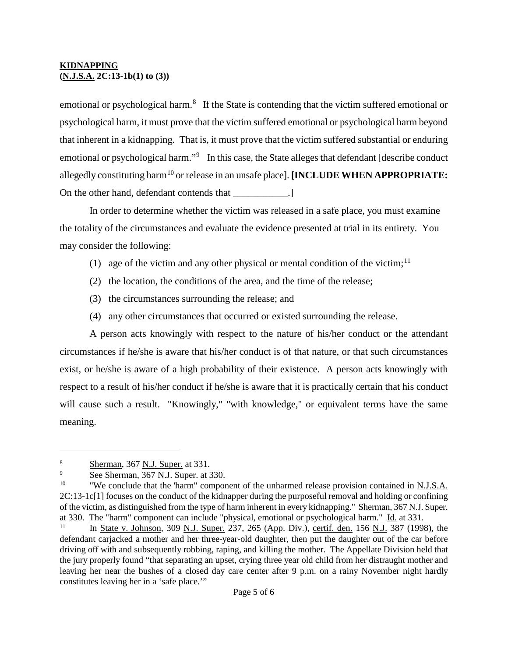emotional or psychological harm.<sup>[8](#page-4-0)</sup> If the State is contending that the victim suffered emotional or psychological harm, it must prove that the victim suffered emotional or psychological harm beyond that inherent in a kidnapping. That is, it must prove that the victim suffered substantial or enduring emotional or psychological harm."<sup>[9](#page-4-1)</sup> In this case, the State alleges that defendant [describe conduct allegedly constituting harm<sup>[10](#page-4-2)</sup> or release in an unsafe place]. **[INCLUDE WHEN APPROPRIATE:** On the other hand, defendant contends that  $\qquad \qquad$  .]

In order to determine whether the victim was released in a safe place, you must examine the totality of the circumstances and evaluate the evidence presented at trial in its entirety. You may consider the following:

- (1) age of the victim and any other physical or mental condition of the victim;<sup>[11](#page-4-3)</sup>
- (2) the location, the conditions of the area, and the time of the release;
- (3) the circumstances surrounding the release; and
- (4) any other circumstances that occurred or existed surrounding the release.

A person acts knowingly with respect to the nature of his/her conduct or the attendant circumstances if he/she is aware that his/her conduct is of that nature, or that such circumstances exist, or he/she is aware of a high probability of their existence. A person acts knowingly with respect to a result of his/her conduct if he/she is aware that it is practically certain that his conduct will cause such a result. "Knowingly," "with knowledge," or equivalent terms have the same meaning.

i

<span id="page-4-1"></span><span id="page-4-0"></span> $\frac{8}{9}$  Sherman, 367 <u>N.J. Super.</u> at 331.

See Sherman, 367 N.J. Super. at 330.

<span id="page-4-2"></span><sup>&</sup>lt;sup>10</sup> "We conclude that the 'harm'' component of the unharmed release provision contained in N.J.S.A. 2C:13-1c[1] focuses on the conduct of the kidnapper during the purposeful removal and holding or confining of the victim, as distinguished from the type of harm inherent in every kidnapping." Sherman, 367 N.J. Super. at 330. The "harm" component can include "physical, emotional or psychological harm."  $\underline{Id}$ , at 331.<br><sup>11</sup> In State v. Johnson, 200 N.J. Super, 227, 265 (App. Div.) certifi dan 156 N.J. 287 (1009)

<span id="page-4-3"></span>In State v. Johnson, 309 N.J. Super. 237, 265 (App. Div.), certif. den. 156 N.J. 387 (1998), the defendant carjacked a mother and her three-year-old daughter, then put the daughter out of the car before driving off with and subsequently robbing, raping, and killing the mother. The Appellate Division held that the jury properly found "that separating an upset, crying three year old child from her distraught mother and leaving her near the bushes of a closed day care center after 9 p.m. on a rainy November night hardly constitutes leaving her in a 'safe place.'"